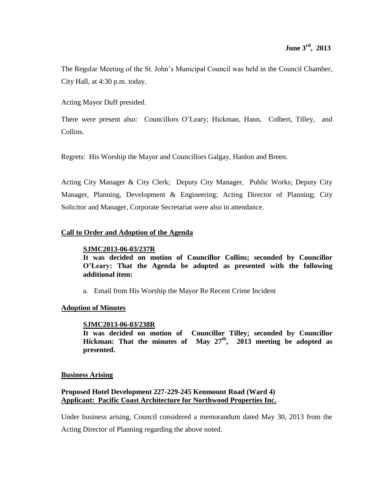The Regular Meeting of the St. John's Municipal Council was held in the Council Chamber, City Hall, at 4:30 p.m. today.

Acting Mayor Duff presided.

There were present also: Councillors O'Leary; Hickman, Hann, Colbert, Tilley, and Collins.

Regrets: His Worship the Mayor and Councillors Galgay, Hanlon and Breen.

Acting City Manager & City Clerk; Deputy City Manager, Public Works; Deputy City Manager, Planning, Development & Engineering; Acting Director of Planning; City Solicitor and Manager, Corporate Secretariat were also in attendance.

## **Call to Order and Adoption of the Agenda**

## **SJMC2013-06-03/237R**

**It was decided on motion of Councillor Collins; seconded by Councillor O'Leary: That the Agenda be adopted as presented with the following additional item:** 

a. Email from His Worship the Mayor Re Recent Crime Incident

## **Adoption of Minutes**

## **SJMC2013-06-03/238R**

**It was decided on motion of Councillor Tilley; seconded by Councillor Hickman: That the minutes of May 27th , 2013 meeting be adopted as presented.**

## **Business Arising**

# **Proposed Hotel Development 227-229-245 Kenmount Road (Ward 4) Applicant: Pacific Coast Architecture for Northwood Properties Inc.**

Under business arising, Council considered a memorandum dated May 30, 2013 from the

Acting Director of Planning regarding the above noted.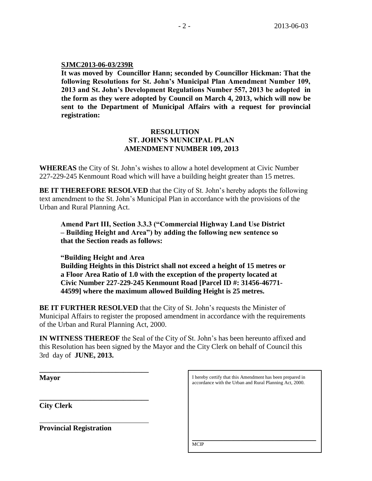## **SJMC2013-06-03/239R**

**It was moved by Councillor Hann; seconded by Councillor Hickman: That the following Resolutions for St. John's Municipal Plan Amendment Number 109, 2013 and St. John's Development Regulations Number 557, 2013 be adopted in the form as they were adopted by Council on March 4, 2013, which will now be sent to the Department of Municipal Affairs with a request for provincial registration:**

# **RESOLUTION ST. JOHN'S MUNICIPAL PLAN AMENDMENT NUMBER 109, 2013**

**WHEREAS** the City of St. John's wishes to allow a hotel development at Civic Number 227-229-245 Kenmount Road which will have a building height greater than 15 metres.

**BE IT THEREFORE RESOLVED** that the City of St. John's hereby adopts the following text amendment to the St. John's Municipal Plan in accordance with the provisions of the Urban and Rural Planning Act.

**Amend Part III, Section 3.3.3 ("Commercial Highway Land Use District – Building Height and Area") by adding the following new sentence so that the Section reads as follows:**

**"Building Height and Area Building Heights in this District shall not exceed a height of 15 metres or a Floor Area Ratio of 1.0 with the exception of the property located at Civic Number 227-229-245 Kenmount Road [Parcel ID #: 31456-46771- 44599] where the maximum allowed Building Height is 25 metres.**

**BE IT FURTHER RESOLVED** that the City of St. John's requests the Minister of Municipal Affairs to register the proposed amendment in accordance with the requirements of the Urban and Rural Planning Act, 2000.

**IN WITNESS THEREOF** the Seal of the City of St. John's has been hereunto affixed and this Resolution has been signed by the Mayor and the City Clerk on behalf of Council this 3rd day of **JUNE, 2013.**

| Mayor                          | I hereby certify that this Amendment has been prepared in<br>accordance with the Urban and Rural Planning Act, 2000. |
|--------------------------------|----------------------------------------------------------------------------------------------------------------------|
| <b>City Clerk</b>              |                                                                                                                      |
| <b>Provincial Registration</b> |                                                                                                                      |
|                                | <b>MCIP</b>                                                                                                          |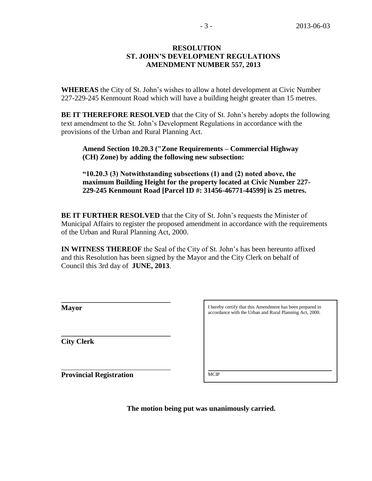## **RESOLUTION ST. JOHN'S DEVELOPMENT REGULATIONS AMENDMENT NUMBER 557, 2013**

**WHEREAS** the City of St. John's wishes to allow a hotel development at Civic Number 227-229-245 Kenmount Road which will have a building height greater than 15 metres.

**BE IT THEREFORE RESOLVED** that the City of St. John's hereby adopts the following text amendment to the St. John's Development Regulations in accordance with the provisions of the Urban and Rural Planning Act.

**Amend Section 10.20.3 ("Zone Requirements – Commercial Highway (CH) Zone) by adding the following new subsection:**

**"10.20.3 (3) Notwithstanding subsections (1) and (2) noted above, the maximum Building Height for the property located at Civic Number 227- 229-245 Kenmount Road [Parcel ID #: 31456-46771-44599] is 25 metres.**

**BE IT FURTHER RESOLVED** that the City of St. John's requests the Minister of Municipal Affairs to register the proposed amendment in accordance with the requirements of the Urban and Rural Planning Act, 2000.

**IN WITNESS THEREOF** the Seal of the City of St. John's has been hereunto affixed and this Resolution has been signed by the Mayor and the City Clerk on behalf of Council this 3rd day of **JUNE, 2013**.

**Mayor**

**City Clerk**

I hereby certify that this Amendment has been prepared in accordance with the Urban and Rural Planning Act, 2000.

\_\_\_\_\_\_\_\_\_\_\_\_\_\_\_\_\_\_\_\_\_\_\_\_\_\_\_\_\_\_\_\_\_\_\_\_\_\_\_\_\_\_\_\_\_\_\_\_\_\_\_

**Provincial Registration**

**\_\_\_\_\_\_\_\_\_\_\_\_\_\_\_\_\_\_\_\_\_\_\_\_\_\_\_\_\_\_**

**\_\_\_\_\_\_\_\_\_\_\_\_\_\_\_\_\_\_\_\_\_\_\_\_\_\_\_\_\_\_** 

**MCIP**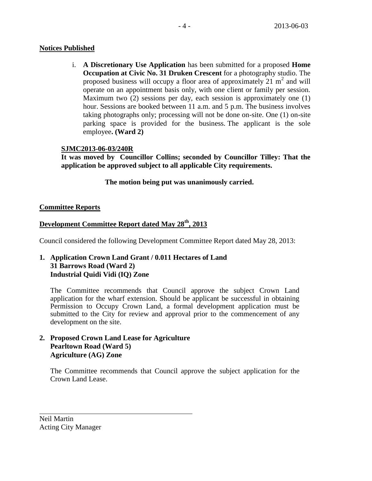# **Notices Published**

i. **A Discretionary Use Application** has been submitted for a proposed **Home Occupation at Civic No. 31 Druken Crescent** for a photography studio. The proposed business will occupy a floor area of approximately  $21 \text{ m}^2$  and will operate on an appointment basis only, with one client or family per session. Maximum two (2) sessions per day, each session is approximately one (1) hour. Sessions are booked between 11 a.m. and 5 p.m. The business involves taking photographs only; processing will not be done on-site. One (1) on-site parking space is provided for the business. The applicant is the sole employee**. (Ward 2)**

# **SJMC2013-06-03/240R**

**It was moved by Councillor Collins; seconded by Councillor Tilley: That the application be approved subject to all applicable City requirements.**

**The motion being put was unanimously carried.**

# **Committee Reports**

# **Development Committee Report dated May 28th, 2013**

Council considered the following Development Committee Report dated May 28, 2013:

# **1. Application Crown Land Grant / 0.011 Hectares of Land 31 Barrows Road (Ward 2) Industrial Quidi Vidi (IQ) Zone**

The Committee recommends that Council approve the subject Crown Land application for the wharf extension. Should be applicant be successful in obtaining Permission to Occupy Crown Land, a formal development application must be submitted to the City for review and approval prior to the commencement of any development on the site.

# **2. Proposed Crown Land Lease for Agriculture Pearltown Road (Ward 5) Agriculture (AG) Zone**

The Committee recommends that Council approve the subject application for the Crown Land Lease.

Neil Martin Acting City Manager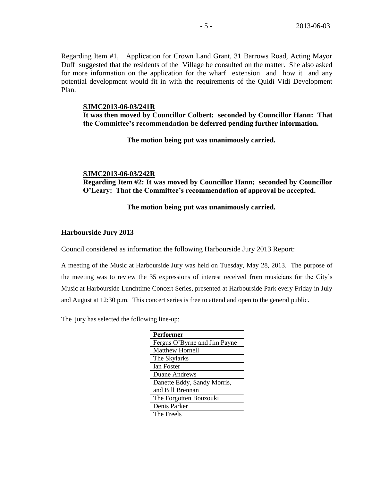Regarding Item #1, Application for Crown Land Grant, 31 Barrows Road, Acting Mayor Duff suggested that the residents of the Village be consulted on the matter. She also asked for more information on the application for the wharf extension and how it and any potential development would fit in with the requirements of the Quidi Vidi Development Plan.

### **SJMC2013-06-03/241R**

**It was then moved by Councillor Colbert; seconded by Councillor Hann: That the Committee's recommendation be deferred pending further information.** 

**The motion being put was unanimously carried.**

**SJMC2013-06-03/242R**

**Regarding Item #2: It was moved by Councillor Hann; seconded by Councillor O'Leary: That the Committee's recommendation of approval be accepted.**

**The motion being put was unanimously carried.**

## **Harbourside Jury 2013**

Council considered as information the following Harbourside Jury 2013 Report:

A meeting of the Music at Harbourside Jury was held on Tuesday, May 28, 2013. The purpose of the meeting was to review the 35 expressions of interest received from musicians for the City's Music at Harbourside Lunchtime Concert Series, presented at Harbourside Park every Friday in July and August at 12:30 p.m. This concert series is free to attend and open to the general public.

The jury has selected the following line-up:

| <b>Performer</b>             |
|------------------------------|
| Fergus O'Byrne and Jim Payne |
| <b>Matthew Hornell</b>       |
| The Skylarks                 |
| <b>Ian Foster</b>            |
| Duane Andrews                |
| Danette Eddy, Sandy Morris,  |
| and Bill Brennan             |
| The Forgotten Bouzouki       |
| Denis Parker                 |
| The Freels                   |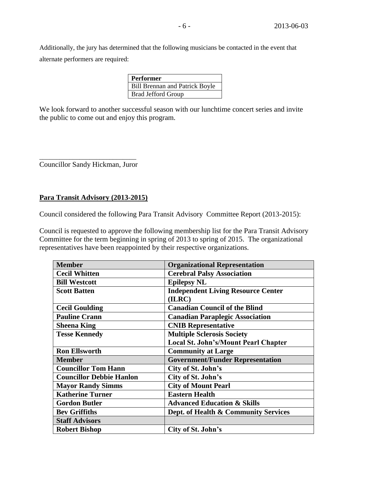Additionally, the jury has determined that the following musicians be contacted in the event that alternate performers are required:

| <b>Performer</b>                      |
|---------------------------------------|
| <b>Bill Brennan and Patrick Boyle</b> |
| <b>Brad Jefford Group</b>             |
|                                       |

We look forward to another successful season with our lunchtime concert series and invite the public to come out and enjoy this program.

\_\_\_\_\_\_\_\_\_\_\_\_\_\_\_\_\_\_\_\_\_\_\_\_\_\_\_\_\_ Councillor Sandy Hickman, Juror

## **Para Transit Advisory (2013-2015)**

Council considered the following Para Transit Advisory Committee Report (2013-2015):

Council is requested to approve the following membership list for the Para Transit Advisory Committee for the term beginning in spring of 2013 to spring of 2015. The organizational representatives have been reappointed by their respective organizations.

| <b>Member</b>                   | <b>Organizational Representation</b>      |
|---------------------------------|-------------------------------------------|
| <b>Cecil Whitten</b>            | <b>Cerebral Palsy Association</b>         |
| <b>Bill Westcott</b>            | <b>Epilepsy NL</b>                        |
| <b>Scott Batten</b>             | <b>Independent Living Resource Center</b> |
|                                 | (ILRC)                                    |
| <b>Cecil Goulding</b>           | <b>Canadian Council of the Blind</b>      |
| <b>Pauline Crann</b>            | <b>Canadian Paraplegic Association</b>    |
| <b>Sheena King</b>              | <b>CNIB Representative</b>                |
| <b>Tesse Kennedy</b>            | <b>Multiple Sclerosis Society</b>         |
|                                 | Local St. John's/Mount Pearl Chapter      |
| <b>Ron Ellsworth</b>            | <b>Community at Large</b>                 |
| <b>Member</b>                   | <b>Government/Funder Representation</b>   |
| <b>Councillor Tom Hann</b>      | City of St. John's                        |
| <b>Councillor Debbie Hanlon</b> | City of St. John's                        |
| <b>Mayor Randy Simms</b>        | <b>City of Mount Pearl</b>                |
| <b>Katherine Turner</b>         | <b>Eastern Health</b>                     |
| <b>Gordon Butler</b>            | <b>Advanced Education &amp; Skills</b>    |
| <b>Bev Griffiths</b>            | Dept. of Health & Community Services      |
| <b>Staff Advisors</b>           |                                           |
| <b>Robert Bishop</b>            | City of St. John's                        |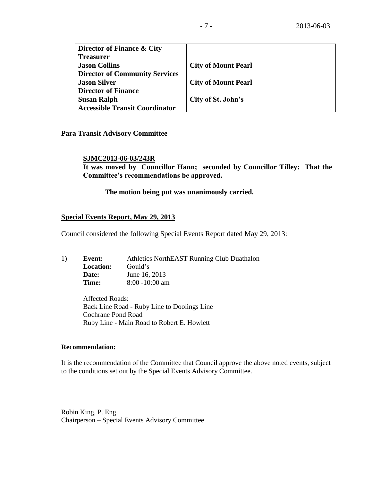| Director of Finance & City            |                            |
|---------------------------------------|----------------------------|
| <b>Treasurer</b>                      |                            |
| <b>Jason Collins</b>                  | <b>City of Mount Pearl</b> |
| <b>Director of Community Services</b> |                            |
| <b>Jason Silver</b>                   | <b>City of Mount Pearl</b> |
| <b>Director of Finance</b>            |                            |
| <b>Susan Ralph</b>                    | City of St. John's         |
| <b>Accessible Transit Coordinator</b> |                            |

## **Para Transit Advisory Committee**

## **SJMC2013-06-03/243R**

**It was moved by Councillor Hann; seconded by Councillor Tilley: That the Committee's recommendations be approved.**

## **The motion being put was unanimously carried.**

## **Special Events Report, May 29, 2013**

Council considered the following Special Events Report dated May 29, 2013:

| 1) | Event:           | Athletics NorthEAST Running Club Duathalon |
|----|------------------|--------------------------------------------|
|    | <b>Location:</b> | Gould's                                    |
|    | Date:            | June 16, 2013                              |
|    | Time:            | $8:00 - 10:00$ am                          |

Affected Roads: Back Line Road - Ruby Line to Doolings Line Cochrane Pond Road Ruby Line - Main Road to Robert E. Howlett

### **Recommendation:**

It is the recommendation of the Committee that Council approve the above noted events, subject to the conditions set out by the Special Events Advisory Committee.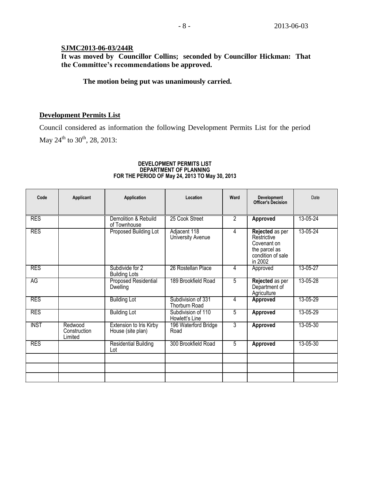# **SJMC2013-06-03/244R**

**It was moved by Councillor Collins; seconded by Councillor Hickman: That the Committee's recommendations be approved.**

# **The motion being put was unanimously carried.**

# **Development Permits List**

Council considered as information the following Development Permits List for the period May 24<sup>th</sup> to 30<sup>th</sup>, 28, 2013:

## **DEVELOPMENT PERMITS LIST DEPARTMENT OF PLANNING FOR THE PERIOD OF May 24, 2013 TO May 30, 2013**

| Code        | Applicant                          | Application                                         | Location                                   | Ward           | <b>Development</b><br>Officer's Decision                                                       | Date     |
|-------------|------------------------------------|-----------------------------------------------------|--------------------------------------------|----------------|------------------------------------------------------------------------------------------------|----------|
| <b>RES</b>  |                                    | Demolition & Rebuild<br>of Townhouse                | 25 Cook Street                             | $\overline{2}$ | Approved                                                                                       | 13-05-24 |
| <b>RES</b>  |                                    | Proposed Building Lot                               | Adjacent 118<br>University Avenue          | 4              | Rejected as per<br>Restrictive<br>Covenant on<br>the parcel as<br>condition of sale<br>in 2002 | 13-05-24 |
| <b>RES</b>  |                                    | Subdivide for 2<br><b>Building Lots</b>             | 26 Rostellan Place                         | 4              | Approved                                                                                       | 13-05-27 |
| AG          |                                    | <b>Proposed Residential</b><br>Dwelling             | 189 Brookfield Road                        | 5              | Rejected as per<br>Department of<br>Agriculture                                                | 13-05-28 |
| <b>RES</b>  |                                    | <b>Building Lot</b>                                 | Subdivision of 331<br><b>Thorburn Road</b> | 4              | <b>Approved</b>                                                                                | 13-05-29 |
| <b>RES</b>  |                                    | <b>Building Lot</b>                                 | Subdivision of 110<br>Howlett's Line       | 5              | <b>Approved</b>                                                                                | 13-05-29 |
| <b>INST</b> | Redwood<br>Construction<br>Limited | <b>Extension to Iris Kirby</b><br>House (site plan) | 196 Waterford Bridge<br>Road               | 3              | Approved                                                                                       | 13-05-30 |
| <b>RES</b>  |                                    | Residential Building<br>Lot                         | 300 Brookfield Road                        | 5              | Approved                                                                                       | 13-05-30 |
|             |                                    |                                                     |                                            |                |                                                                                                |          |
|             |                                    |                                                     |                                            |                |                                                                                                |          |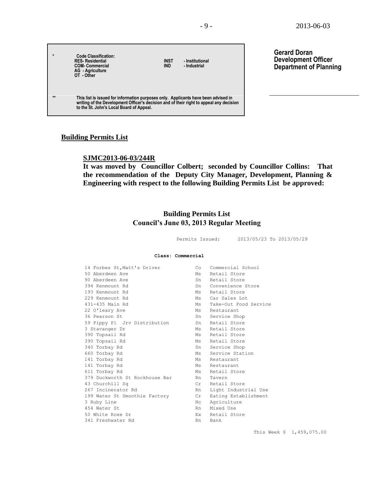**Gerard Doran**

**Development Officer Department of Planning**

| $\star$      | Code Classification:<br><b>RES-Residential</b><br><b>COM-Commercial</b><br><b>AG</b> - Agriculture<br>OT - Other                                                                                                          | <b>INST</b><br><b>IND</b> | - Institutional<br>- Industrial |  |
|--------------|---------------------------------------------------------------------------------------------------------------------------------------------------------------------------------------------------------------------------|---------------------------|---------------------------------|--|
| $\star\star$ | This list is issued for information purposes only. Applicants have been advised in<br>writing of the Development Officer's decision and of their right to appeal any decision<br>to the St. John's Local Board of Appeal. |                           |                                 |  |

## **Building Permits List**

 $\Box$ 

## **SJMC2013-06-03/244R**

**It was moved by Councillor Colbert; seconded by Councillor Collins: That the recommendation of the Deputy City Manager, Development, Planning & Engineering with respect to the following Building Permits List be approved:** 

## **Building Permits List Council's June 03, 2013 Regular Meeting**

Permits Issued: 2013/05/23 To 2013/05/29

#### **Class: Commercial**

| 14 Forbes St, Matt's Driver    | Co | Commercial School        |
|--------------------------------|----|--------------------------|
| 50 Aberdeen Ave                |    | Ms Retail Store          |
| 90 Aberdeen Ave                |    | Sn Retail Store          |
| 394 Kenmount Rd                |    | Sn Convenience Store     |
| 193 Kenmount Rd                |    | Ms Retail Store          |
| 229 Kenmount Rd                |    | Ms Car Sales Lot         |
| 431-435 Main Rd                |    | Ms Take-Out Food Service |
| 22 O'leary Ave                 |    | Ms Restaurant            |
| 36 Pearson St                  |    | Sn Service Shop          |
| 59 Pippy Pl Jrv Distribution   |    | Sn Retail Store          |
| 3 Stavanger Dr                 |    | Ms Retail Store          |
| 390 Topsail Rd                 |    | Ms Retail Store          |
| 390 Topsail Rd                 |    | Ms Retail Store          |
| 340 Torbay Rd                  |    | Sn Service Shop          |
| 660 Torbay Rd                  |    | Ms Service Station       |
| 141 Torbay Rd                  |    | Ms Restaurant            |
| 141 Torbay Rd                  |    | Ms Restaurant            |
| 611 Torbay Rd                  |    | Ms Retail Store          |
| 379 Duckworth St Rockhouse Bar | Rn | Tavern                   |
| 43 Churchill Sq                |    | Cr Retail Store          |
| 267 Incinerator Rd             | Rn | Light Industrial Use     |
| 199 Water St Smoothie Factory  | Cr | Eating Establishment     |
| 3 Ruby Line                    | Nc | Agriculture              |
| 454 Water St                   |    | Rn Mixed Use             |
| 50 White Rose Dr               |    | Ex Retail Store          |
| 341 Freshwater Rd              | Rn | Bank                     |

This Week \$ 1,459,075.00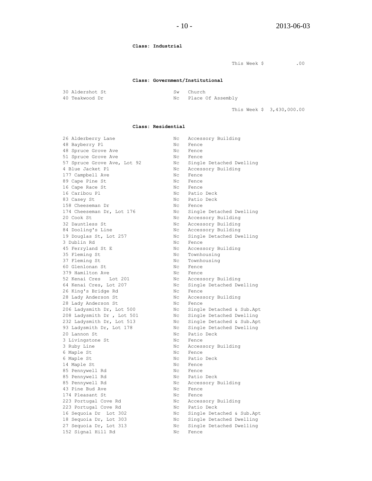#### **Class: Industrial**

This Week \$ .00

#### **Class: Government/Institutional**

| 30 Aldershot St | Sw Church            |
|-----------------|----------------------|
| 40 Teakwood Dr  | Nc Place Of Assembly |

This Week \$ 3,430,000.00

#### **Class: Residential**

| 26 Alderberry Lane          | Nс  | Accessory Building        |
|-----------------------------|-----|---------------------------|
| 48 Bayberry Pl              | Nс  | Fence                     |
| 48 Spruce Grove Ave         | Nc  | Fence                     |
| 51 Spruce Grove Ave         | Nc  | Fence                     |
| 57 Spruce Grove Ave, Lot 92 | Nc  | Single Detached Dwelling  |
| 4 Blue Jacket Pl            | Nc  | Accessory Building        |
| 177 Campbell Ave            | Nc. | Fence                     |
| 89 Cape Pine St             | Nc. | Fence                     |
| 16 Cape Race St             | Nc. | Fence                     |
| 16 Caribou Pl               | Nc  | Patio Deck                |
| 83 Casey St                 | Nc  | Patio Deck                |
| 158 Cheeseman Dr            | Nc  | Fence                     |
| 174 Cheeseman Dr, Lot 176   | Nc  | Single Detached Dwelling  |
| 20 Cook St                  | Nc  | Accessory Building        |
| 32 Dauntless St             | Nc  | Accessory Building        |
| 84 Dooling's Line           | Nc  | Accessory Building        |
| 19 Douglas St, Lot 257      | Nc  | Single Detached Dwelling  |
| 3 Dublin Rd                 | Nc  | Fence                     |
| 45 Ferryland St E           | Nc  | Accessory Building        |
| 35 Fleming St               | Nс  | Townhousing               |
| 37 Fleming St               | Nc  | Townhousing               |
| 60 Glenlonan St             | Nc. | Fence                     |
| 379 Hamilton Ave            | Nc  | Fence                     |
| 52 Kenai Cres Lot 201       | Nc  | Accessory Building        |
| 64 Kenai Cres, Lot 207      | Nc  | Single Detached Dwelling  |
| 26 King's Bridge Rd         | Nc  | Fence                     |
| 28 Lady Anderson St         | Nc  | Accessory Building        |
| 28 Lady Anderson St         | Nc. | Fence                     |
| 206 Ladysmith Dr, Lot 500   | Nc  | Single Detached & Sub.Apt |
| 208 Ladysmith Dr , Lot 501  | Nc  | Single Detached Dwelling  |
| 232 Ladysmith Dr, Lot 513   | Nc  | Single Detached & Sub.Apt |
| 93 Ladysmith Dr, Lot 178    | Nc  | Single Detached Dwelling  |
| 20 Lannon St                | Nc. | Patio Deck                |
| 3 Livingstone St            | Nc  | Fence                     |
| 3 Ruby Line                 | Nc. | Accessory Building        |
| 6 Maple St                  | Nc  | Fence                     |
| 6 Maple St                  | Nc  | Patio Deck                |
| 14 Maple St                 | Nc  | Fence                     |
| 85 Pennywell Rd             | Nc  | Fence                     |
| 85 Pennywell Rd             | Nc  | Patio Deck                |
| 85 Pennywell Rd             | Nc  | Accessory Building        |
| 43 Pine Bud Ave             | Nc  | Fence                     |
| 174 Pleasant St             | Nc  | Fence                     |
| 223 Portugal Cove Rd        | Nc  | Accessory Building        |
| 223 Portugal Cove Rd        | Nc  | Patio Deck                |
| 16 Sequoia Dr Lot 302       | Nc  | Single Detached & Sub.Apt |
| 18 Sequoia Dr, Lot 303      | Nc  | Single Detached Dwelling  |
| 27 Sequoia Dr, Lot 313      | Nc  | Single Detached Dwelling  |
| 152 Signal Hill Rd          | Nc  | Fence                     |
|                             |     |                           |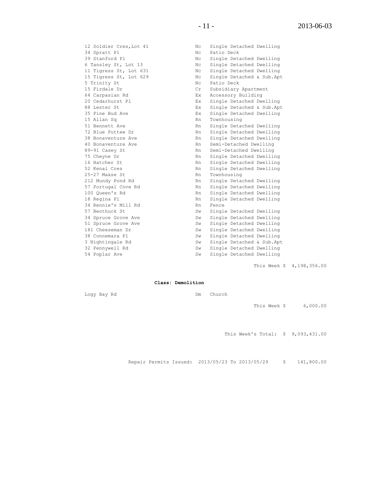12 Soldier Cres,Lot 41 Nc Single Detached Dwelling 34 Spratt Pl<br>
39 Stanford Pl<br>
39 Stanford Pl<br>
39 Stanford Pl<br>
39 Stanford Pl<br>
39 Stanford Pl<br>
39 Stanford Pl<br>
39 Stanford Pl 39 Stanford Pl Nc Single Detached Dwelling 6 Tansley St, Lot 13 Nc Single Detached Dwelling 11 Tigress St, Lot 631 Nc Single Detached Dwelling 15 Tigress St, Lot 629 Nc Single Detached & Sub.Apt o ransley St, Lot 13<br>11 Tigress St, Lot 631<br>15 Tigress St, Lot 629<br>5 Trinity St<br>15 Firdale Dec 15 Firdale Dr Cr Subsidiary Apartment 64 Carpasian Rd Ex Accessory Building 20 Cedarhurst Pl Ex Single Detached Dwelling 88 Lester St Ex Single Detached & Sub.Apt 35 Pine Bud Ave Ex Single Detached Dwelling 15 Allan Sq **Rn** Townhousing 51 Bennett Ave **Rn** Single Detached Dwelling 72 Blue Puttee Dr Rn Single Detached Dwelling 38 Bonaventure Ave and Rn Single Detached Dwelling 40 Bonaventure Ave **RAN SEMI-Detached Dwelling** 89-91 Casey St Rn Semi-Detached Dwelling 75 Cheyne Dr **Rn** Single Detached Dwelling 16 Hatcher St Rn Single Detached Dwelling 52 Kenai Cres **Rn** Single Detached Dwelling 25-27 Maxse St Rn Townhousing 212 Mundy Pond Rd Rn Single Detached Dwelling 100 Queen's Rd Rn Single Detached Dwelling 18 Regina Pl **Rn** Single Detached Dwelling 18 Regina Plannie's Mill Rd Rn Single Detached Dwelling<br>34 Rennie's Mill Rd Rn Fence 57 Beothuck St Sw Single Detached Dwelling 34 Spruce Grove Ave Sw Single Detached Dwelling<br>51 Spruce Grove Ave Sw Single Detached Dwelling 181 Cheeseman Dr Sw Single Detached Dwelling 38 Connemara Pl Sw Single Detached Dwelling 54 Poplar Ave Sw Single Detached Dwelling

Rn Single Detached Dwelling<br>Rn Single Detached Dwelling

Sw Single Detached Dwelling Sw Single Detached & Sub.Apt Sw Single Detached Dwelling

This Week \$ 4,198,356.00

**Class: Demolition**

Logy Bay Rd Dm Church

This Week \$ 6,000.00

This Week's Total: \$ 9,093,431.00

Repair Permits Issued: 2013/05/23 To 2013/05/29 \$ 141,800.00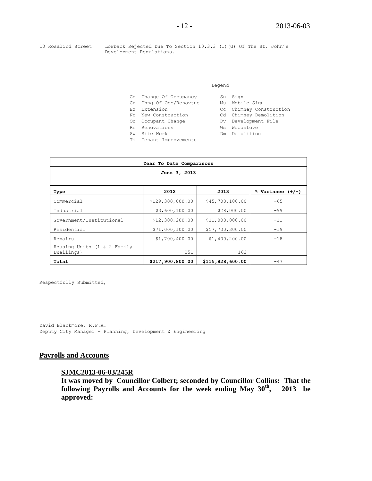10 Rosalind Street Lowback Rejected Due To Section 10.3.3 (1)(G) Of The St. John's Development Regulations.

#### Legend

|    | Co Change Of Occupancy  |     | Sn Sign                 |
|----|-------------------------|-----|-------------------------|
|    | Cr Chng Of Occ/Renovtns |     | Ms Mobile Sign          |
|    | Ex Extension            |     | Cc Chimney Construction |
|    | No New Construction     |     | Cd Chimney Demolition   |
|    | Oc Occupant Change      |     | Dv Development File     |
|    | Rn Renovations          | Ws  | Woodstove               |
|    | Sw Site Work            | Dm. | Demolition              |
| Τi | Tenant Improvements     |     |                         |

| Year To Date Comparisons                  |                  |                  |                      |  |
|-------------------------------------------|------------------|------------------|----------------------|--|
| June 3, 2013                              |                  |                  |                      |  |
|                                           |                  |                  |                      |  |
| Type                                      | 2012             | 2013             | $%$ Variance $(+/-)$ |  |
| Commercial                                | \$129,300,000.00 | \$45,700,100.00  | $-65$                |  |
| Industrial                                | \$3,600,100.00   | \$28,000.00      | $-99$                |  |
| Government/Institutional                  | \$12,300,200.00  | \$11,000,000.00  | $-11$                |  |
| Residential                               | \$71,000,100.00  | \$57,700,300.00  | $-19$                |  |
| Repairs                                   | \$1,700,400.00   | \$1,400,200.00   | $-18$                |  |
| Housing Units (1 & 2 Family<br>Dwellings) | 251              | 163              |                      |  |
| Total                                     | \$217,900,800.00 | \$115,828,600.00 | $-47$                |  |

Respectfully Submitted,

David Blackmore, R.P.A. Deputy City Manager – Planning, Development & Engineering

# **Payrolls and Accounts**

## **SJMC2013-06-03/245R**

**It was moved by Councillor Colbert; seconded by Councillor Collins: That the following Payrolls and Accounts for the week ending May 30th , 2013 be approved:**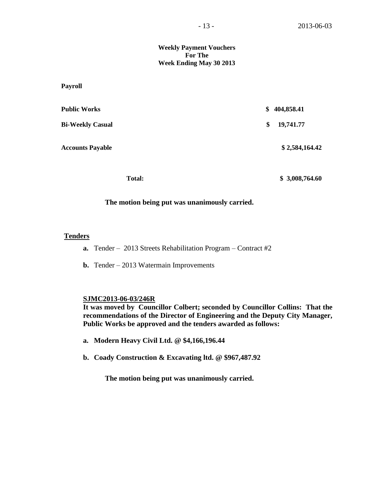### **Weekly Payment Vouchers For The Week Ending May 30 2013**

**Payroll**

| <b>Public Works</b>     | \$<br>404,858.41 |
|-------------------------|------------------|
| <b>Bi-Weekly Casual</b> | \$<br>19,741.77  |
| <b>Accounts Payable</b> | \$2,584,164.42   |
|                         |                  |

 **Total: \$ 3,008,764.60**

### **The motion being put was unanimously carried.**

### **Tenders**

- **a.** Tender 2013 Streets Rehabilitation Program Contract #2
- **b.** Tender 2013 Watermain Improvements

### **SJMC2013-06-03/246R**

**It was moved by Councillor Colbert; seconded by Councillor Collins: That the recommendations of the Director of Engineering and the Deputy City Manager, Public Works be approved and the tenders awarded as follows:**

- **a. Modern Heavy Civil Ltd. @ \$4,166,196.44**
- **b. Coady Construction & Excavating ltd. @ \$967,487.92**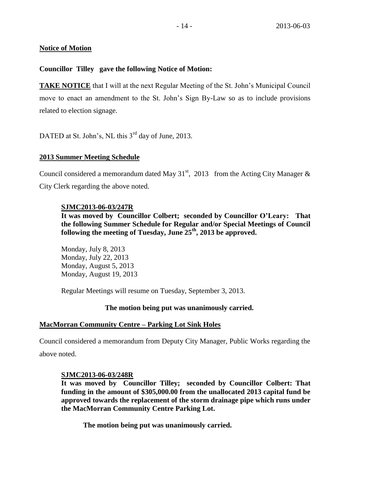# **Notice of Motion**

# **Councillor Tilley gave the following Notice of Motion:**

**TAKE NOTICE** that I will at the next Regular Meeting of the St. John's Municipal Council move to enact an amendment to the St. John's Sign By-Law so as to include provisions related to election signage.

DATED at St. John's, NL this 3<sup>rd</sup> day of June, 2013.

# **2013 Summer Meeting Schedule**

Council considered a memorandum dated May  $31<sup>st</sup>$ , 2013 from the Acting City Manager & City Clerk regarding the above noted.

# **SJMC2013-06-03/247R**

**It was moved by Councillor Colbert; seconded by Councillor O'Leary: That the following Summer Schedule for Regular and/or Special Meetings of Council following the meeting of Tuesday, June 25th, 2013 be approved.**

Monday, July 8, 2013 Monday, July 22, 2013 Monday, August 5, 2013 Monday, August 19, 2013

Regular Meetings will resume on Tuesday, September 3, 2013.

# **The motion being put was unanimously carried.**

# **MacMorran Community Centre – Parking Lot Sink Holes**

Council considered a memorandum from Deputy City Manager, Public Works regarding the above noted.

# **SJMC2013-06-03/248R**

**It was moved by Councillor Tilley; seconded by Councillor Colbert: That funding in the amount of \$305,000.00 from the unallocated 2013 capital fund be approved towards the replacement of the storm drainage pipe which runs under the MacMorran Community Centre Parking Lot.**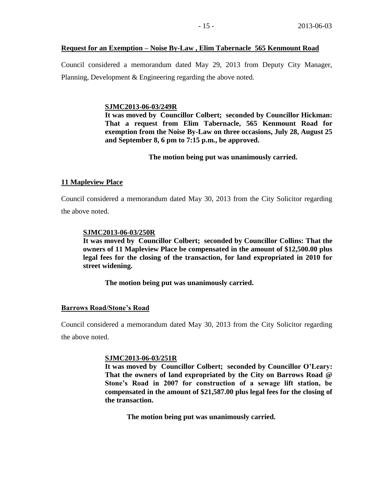### **Request for an Exemption – Noise By-Law , Elim Tabernacle 565 Kenmount Road**

Council considered a memorandum dated May 29, 2013 from Deputy City Manager, Planning, Development & Engineering regarding the above noted.

### **SJMC2013-06-03/249R**

**It was moved by Councillor Colbert; seconded by Councillor Hickman: That a request from Elim Tabernacle, 565 Kenmount Road for exemption from the Noise By-Law on three occasions, July 28, August 25 and September 8, 6 pm to 7:15 p.m., be approved.**

**The motion being put was unanimously carried.**

### **11 Mapleview Place**

Council considered a memorandum dated May 30, 2013 from the City Solicitor regarding the above noted.

### **SJMC2013-06-03/250R**

**It was moved by Councillor Colbert; seconded by Councillor Collins: That the owners of 11 Mapleview Place be compensated in the amount of \$12,500.00 plus legal fees for the closing of the transaction, for land expropriated in 2010 for street widening.** 

**The motion being put was unanimously carried.**

### **Barrows Road/Stone's Road**

Council considered a memorandum dated May 30, 2013 from the City Solicitor regarding the above noted.

### **SJMC2013-06-03/251R**

**It was moved by Councillor Colbert; seconded by Councillor O'Leary: That the owners of land expropriated by the City on Barrows Road @ Stone's Road in 2007 for construction of a sewage lift station, be compensated in the amount of \$21,587.00 plus legal fees for the closing of the transaction.**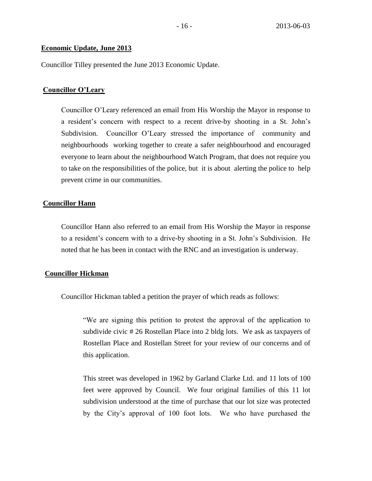## **Economic Update, June 2013**

Councillor Tilley presented the June 2013 Economic Update.

## **Councillor O'Leary**

Councillor O'Leary referenced an email from His Worship the Mayor in response to a resident's concern with respect to a recent drive-by shooting in a St. John's Subdivision. Councillor O'Leary stressed the importance of community and neighbourhoods working together to create a safer neighbourhood and encouraged everyone to learn about the neighbourhood Watch Program, that does not require you to take on the responsibilities of the police, but it is about alerting the police to help prevent crime in our communities.

## **Councillor Hann**

Councillor Hann also referred to an email from His Worship the Mayor in response to a resident's concern with to a drive-by shooting in a St. John's Subdivision. He noted that he has been in contact with the RNC and an investigation is underway.

### **Councillor Hickman**

Councillor Hickman tabled a petition the prayer of which reads as follows:

"We are signing this petition to protest the approval of the application to subdivide civic # 26 Rostellan Place into 2 bldg lots. We ask as taxpayers of Rostellan Place and Rostellan Street for your review of our concerns and of this application.

This street was developed in 1962 by Garland Clarke Ltd. and 11 lots of 100 feet were approved by Council. We four original families of this 11 lot subdivision understood at the time of purchase that our lot size was protected by the City's approval of 100 foot lots. We who have purchased the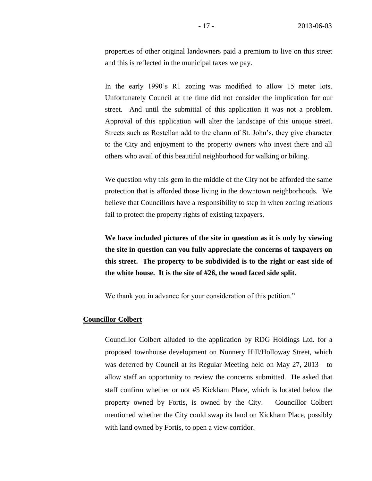properties of other original landowners paid a premium to live on this street and this is reflected in the municipal taxes we pay.

In the early 1990's R1 zoning was modified to allow 15 meter lots. Unfortunately Council at the time did not consider the implication for our street. And until the submittal of this application it was not a problem. Approval of this application will alter the landscape of this unique street. Streets such as Rostellan add to the charm of St. John's, they give character to the City and enjoyment to the property owners who invest there and all others who avail of this beautiful neighborhood for walking or biking.

We question why this gem in the middle of the City not be afforded the same protection that is afforded those living in the downtown neighborhoods. We believe that Councillors have a responsibility to step in when zoning relations fail to protect the property rights of existing taxpayers.

**We have included pictures of the site in question as it is only by viewing the site in question can you fully appreciate the concerns of taxpayers on this street. The property to be subdivided is to the right or east side of the white house. It is the site of #26, the wood faced side split.**

We thank you in advance for your consideration of this petition."

### **Councillor Colbert**

Councillor Colbert alluded to the application by RDG Holdings Ltd. for a proposed townhouse development on Nunnery Hill/Holloway Street, which was deferred by Council at its Regular Meeting held on May 27, 2013 to allow staff an opportunity to review the concerns submitted. He asked that staff confirm whether or not #5 Kickham Place, which is located below the property owned by Fortis, is owned by the City. Councillor Colbert mentioned whether the City could swap its land on Kickham Place, possibly with land owned by Fortis, to open a view corridor.